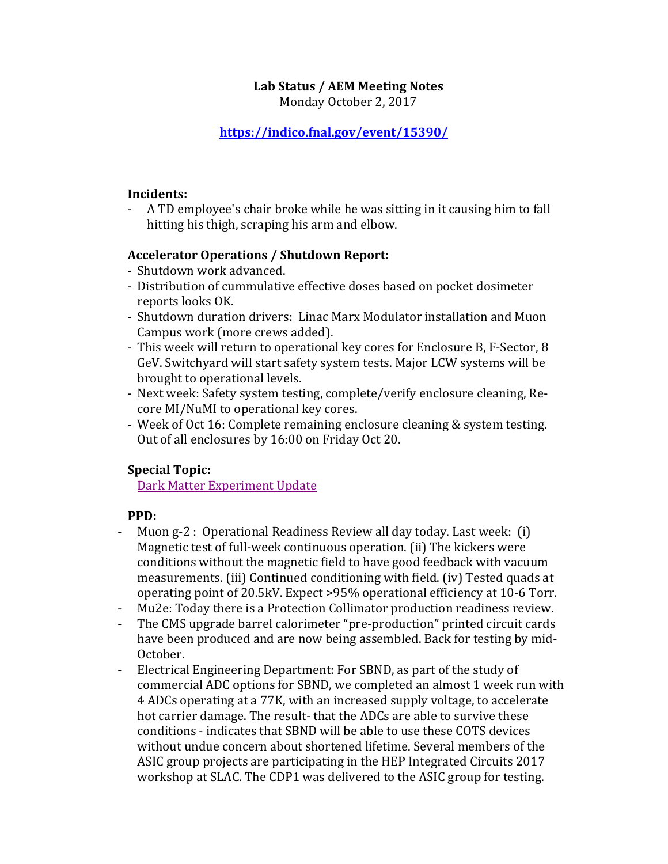## **Lab Status / AEM Meeting Notes**

Monday October 2, 2017

## **https://indico.fnal.gov/event/15390/**

#### **Incidents:**

- A TD employee's chair broke while he was sitting in it causing him to fall hitting his thigh, scraping his arm and elbow.

### **Accelerator Operations / Shutdown Report:**

- Shutdown work advanced.
- Distribution of cummulative effective doses based on pocket dosimeter reports looks OK.
- Shutdown duration drivers: Linac Marx Modulator installation and Muon Campus work (more crews added).
- This week will return to operational key cores for Enclosure B, F-Sector, 8 GeV. Switchyard will start safety system tests. Major LCW systems will be brought to operational levels.
- Next week: Safety system testing, complete/verify enclosure cleaning, Recore MI/NuMI to operational key cores.
- Week of Oct 16: Complete remaining enclosure cleaning & system testing. Out of all enclosures by 16:00 on Friday Oct 20.

### **Special Topic:**

Dark Matter Experiment Update

### **PPD:**

- Muon g-2 : Operational Readiness Review all day today. Last week: (i) Magnetic test of full-week continuous operation. (ii) The kickers were conditions without the magnetic field to have good feedback with vacuum measurements. (iii) Continued conditioning with field. (iv) Tested quads at operating point of 20.5kV. Expect >95% operational efficiency at 10-6 Torr.
- Mu2e: Today there is a Protection Collimator production readiness review.
- The CMS upgrade barrel calorimeter "pre-production" printed circuit cards have been produced and are now being assembled. Back for testing by mid-October.
- Electrical Engineering Department: For SBND, as part of the study of commercial ADC options for SBND, we completed an almost 1 week run with 4 ADCs operating at a 77K, with an increased supply voltage, to accelerate hot carrier damage. The result- that the ADCs are able to survive these conditions - indicates that SBND will be able to use these COTS devices without undue concern about shortened lifetime. Several members of the ASIC group projects are participating in the HEP Integrated Circuits 2017 workshop at SLAC. The CDP1 was delivered to the ASIC group for testing.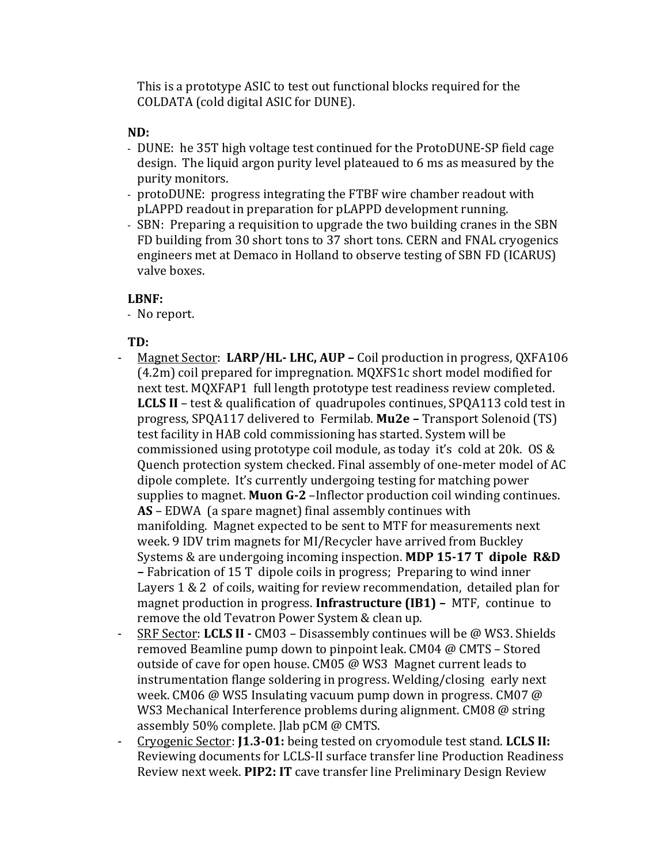This is a prototype ASIC to test out functional blocks required for the COLDATA (cold digital ASIC for DUNE).

## **ND:**

- DUNE: he 35T high voltage test continued for the ProtoDUNE-SP field cage design. The liquid argon purity level plateaued to 6 ms as measured by the purity monitors.
- protoDUNE: progress integrating the FTBF wire chamber readout with pLAPPD readout in preparation for pLAPPD development running.
- SBN: Preparing a requisition to upgrade the two building cranes in the SBN FD building from 30 short tons to 37 short tons. CERN and FNAL cryogenics engineers met at Demaco in Holland to observe testing of SBN FD (ICARUS) valve boxes.

### **LBNF:**

- No report.

# **TD:**

- Magnet Sector: LARP/HL-LHC, AUP Coil production in progress, QXFA106  $(4.2m)$  coil prepared for impregnation. MQXFS1c short model modified for next test. MQXFAP1 full length prototype test readiness review completed. **LCLS II** – test & qualification of quadrupoles continues, SPQA113 cold test in progress, SPQA117 delivered to Fermilab. Mu2e - Transport Solenoid (TS) test facility in HAB cold commissioning has started. System will be commissioned using prototype coil module, as today it's cold at 20k. OS & Quench protection system checked. Final assembly of one-meter model of AC dipole complete. It's currently undergoing testing for matching power supplies to magnet. **Muon G-2** -Inflector production coil winding continues. **AS** – EDWA (a spare magnet) final assembly continues with manifolding. Magnet expected to be sent to MTF for measurements next week. 9 IDV trim magnets for MI/Recycler have arrived from Buckley Systems & are undergoing incoming inspection. MDP 15-17 T dipole R&D **–** Fabrication of 15 T dipole coils in progress; Preparing to wind inner Layers  $1 & 2$  of coils, waiting for review recommendation, detailed plan for magnet production in progress. Infrastructure (IB1) - MTF, continue to remove the old Tevatron Power System & clean up.
- SRF Sector: LCLS II CM03 Disassembly continues will be @ WS3. Shields removed Beamline pump down to pinpoint leak. CM04 @ CMTS – Stored outside of cave for open house. CM05 @ WS3 Magnet current leads to instrumentation flange soldering in progress. Welding/closing early next week. CM06 @ WS5 Insulating vacuum pump down in progress. CM07  $\omega$ WS3 Mechanical Interference problems during alignment. CM08 @ string assembly 50% complete. Jlab pCM @ CMTS.
- Cryogenic Sector: **J1.3-01:** being tested on cryomodule test stand. LCLS II: Reviewing documents for LCLS-II surface transfer line Production Readiness Review next week. PIP2: IT cave transfer line Preliminary Design Review